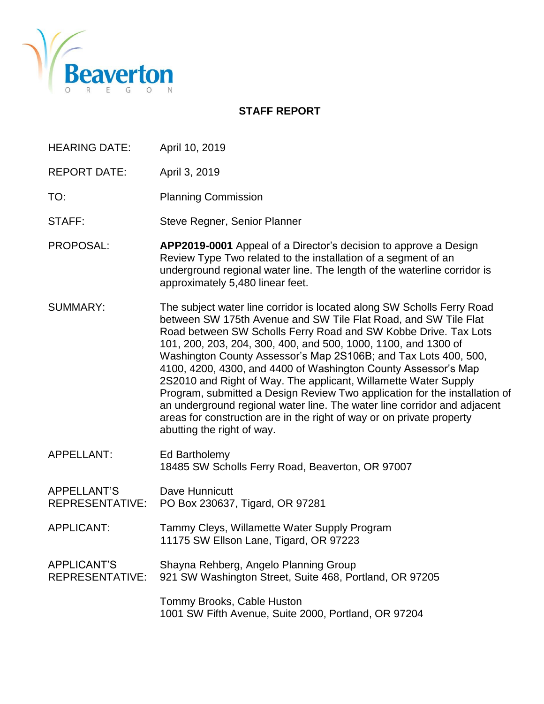

#### **STAFF REPORT**

- HEARING DATE: April 10, 2019
- REPORT DATE: April 3, 2019
- TO: Planning Commission
- STAFF: Steve Regner, Senior Planner
- PROPOSAL: **APP2019-0001** Appeal of a Director's decision to approve a Design Review Type Two related to the installation of a segment of an underground regional water line. The length of the waterline corridor is approximately 5,480 linear feet.
- SUMMARY: The subject water line corridor is located along SW Scholls Ferry Road between SW 175th Avenue and SW Tile Flat Road, and SW Tile Flat Road between SW Scholls Ferry Road and SW Kobbe Drive. Tax Lots 101, 200, 203, 204, 300, 400, and 500, 1000, 1100, and 1300 of Washington County Assessor's Map 2S106B; and Tax Lots 400, 500, 4100, 4200, 4300, and 4400 of Washington County Assessor's Map 2S2010 and Right of Way. The applicant, Willamette Water Supply Program, submitted a Design Review Two application for the installation of an underground regional water line. The water line corridor and adjacent areas for construction are in the right of way or on private property abutting the right of way.
- APPELLANT: Ed Bartholemy 18485 SW Scholls Ferry Road, Beaverton, OR 97007
- APPELLANT'S Dave Hunnicutt REPRESENTATIVE: PO Box 230637, Tigard, OR 97281
- APPLICANT: Tammy Cleys, Willamette Water Supply Program 11175 SW Ellson Lane, Tigard, OR 97223

APPLICANT'S Shayna Rehberg, Angelo Planning Group REPRESENTATIVE: 921 SW Washington Street, Suite 468, Portland, OR 97205

> Tommy Brooks, Cable Huston 1001 SW Fifth Avenue, Suite 2000, Portland, OR 97204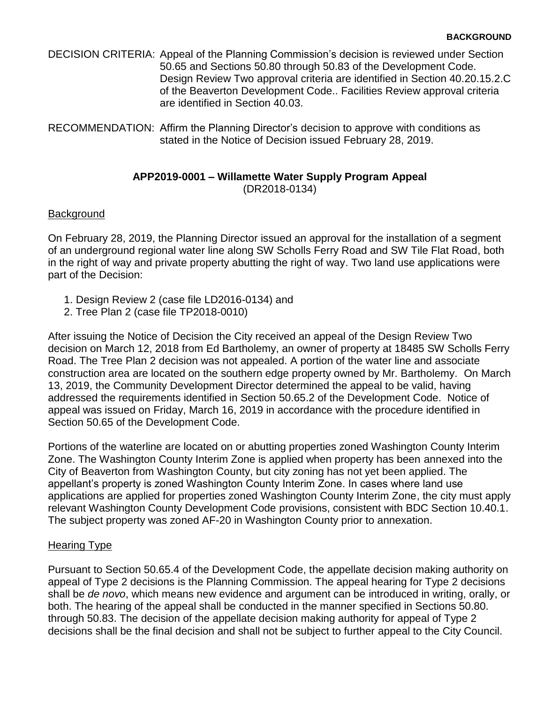| DECISION CRITERIA: Appeal of the Planning Commission's decision is reviewed under Section |
|-------------------------------------------------------------------------------------------|
| 50.65 and Sections 50.80 through 50.83 of the Development Code.                           |
| Design Review Two approval criteria are identified in Section 40.20.15.2.C                |
| of the Beaverton Development Code Facilities Review approval criteria                     |
| are identified in Section 40.03.                                                          |

RECOMMENDATION: Affirm the Planning Director's decision to approve with conditions as stated in the Notice of Decision issued February 28, 2019.

#### **APP2019-0001 – Willamette Water Supply Program Appeal** (DR2018-0134)

#### **Background**

On February 28, 2019, the Planning Director issued an approval for the installation of a segment of an underground regional water line along SW Scholls Ferry Road and SW Tile Flat Road, both in the right of way and private property abutting the right of way. Two land use applications were part of the Decision:

- 1. Design Review 2 (case file LD2016-0134) and
- 2. Tree Plan 2 (case file TP2018-0010)

After issuing the Notice of Decision the City received an appeal of the Design Review Two decision on March 12, 2018 from Ed Bartholemy, an owner of property at 18485 SW Scholls Ferry Road. The Tree Plan 2 decision was not appealed. A portion of the water line and associate construction area are located on the southern edge property owned by Mr. Bartholemy. On March 13, 2019, the Community Development Director determined the appeal to be valid, having addressed the requirements identified in Section 50.65.2 of the Development Code. Notice of appeal was issued on Friday, March 16, 2019 in accordance with the procedure identified in Section 50.65 of the Development Code.

Portions of the waterline are located on or abutting properties zoned Washington County Interim Zone. The Washington County Interim Zone is applied when property has been annexed into the City of Beaverton from Washington County, but city zoning has not yet been applied. The appellant's property is zoned Washington County Interim Zone. In cases where land use applications are applied for properties zoned Washington County Interim Zone, the city must apply relevant Washington County Development Code provisions, consistent with BDC Section 10.40.1. The subject property was zoned AF-20 in Washington County prior to annexation.

## Hearing Type

Pursuant to Section 50.65.4 of the Development Code, the appellate decision making authority on appeal of Type 2 decisions is the Planning Commission. The appeal hearing for Type 2 decisions shall be *de novo*, which means new evidence and argument can be introduced in writing, orally, or both. The hearing of the appeal shall be conducted in the manner specified in Sections 50.80. through 50.83. The decision of the appellate decision making authority for appeal of Type 2 decisions shall be the final decision and shall not be subject to further appeal to the City Council.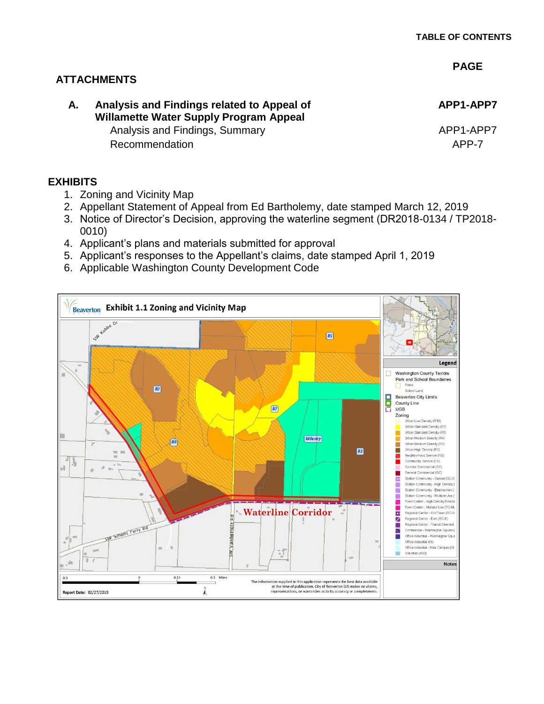#### **PAGE**

## **ATTACHMENTS**

# **A. Analysis and Findings related to Appeal of Willamette Water Supply Program Appeal**

Analysis and Findings, Summary Analysis and Findings, Approximate APP1-APP7 Recommendation **APP-7** 

**APP1-APP7**

#### **EXHIBITS**

- 1. Zoning and Vicinity Map
- 2. Appellant Statement of Appeal from Ed Bartholemy, date stamped March 12, 2019
- 3. Notice of Director's Decision, approving the waterline segment (DR2018-0134 / TP2018- 0010)
- 4. Applicant's plans and materials submitted for approval
- 5. Applicant's responses to the Appellant's claims, date stamped April 1, 2019
- 6. Applicable Washington County Development Code

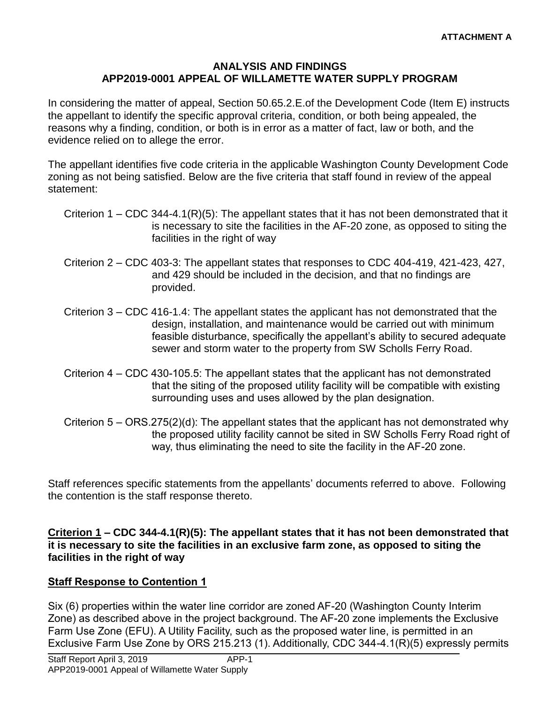#### **ANALYSIS AND FINDINGS APP2019-0001 APPEAL OF WILLAMETTE WATER SUPPLY PROGRAM**

In considering the matter of appeal, Section 50.65.2.E.of the Development Code (Item E) instructs the appellant to identify the specific approval criteria, condition, or both being appealed, the reasons why a finding, condition, or both is in error as a matter of fact, law or both, and the evidence relied on to allege the error.

The appellant identifies five code criteria in the applicable Washington County Development Code zoning as not being satisfied. Below are the five criteria that staff found in review of the appeal statement:

- Criterion 1 CDC 344-4.1(R)(5): The appellant states that it has not been demonstrated that it is necessary to site the facilities in the AF-20 zone, as opposed to siting the facilities in the right of way
- Criterion 2 CDC 403-3: The appellant states that responses to CDC 404-419, 421-423, 427, and 429 should be included in the decision, and that no findings are provided.
- Criterion 3 CDC 416-1.4: The appellant states the applicant has not demonstrated that the design, installation, and maintenance would be carried out with minimum feasible disturbance, specifically the appellant's ability to secured adequate sewer and storm water to the property from SW Scholls Ferry Road.
- Criterion 4 CDC 430-105.5: The appellant states that the applicant has not demonstrated that the siting of the proposed utility facility will be compatible with existing surrounding uses and uses allowed by the plan designation.
- Criterion  $5 ORS.275(2)(d)$ : The appellant states that the applicant has not demonstrated why the proposed utility facility cannot be sited in SW Scholls Ferry Road right of way, thus eliminating the need to site the facility in the AF-20 zone.

Staff references specific statements from the appellants' documents referred to above. Following the contention is the staff response thereto.

**Criterion 1 – CDC 344-4.1(R)(5): The appellant states that it has not been demonstrated that it is necessary to site the facilities in an exclusive farm zone, as opposed to siting the facilities in the right of way**

# **Staff Response to Contention 1**

Six (6) properties within the water line corridor are zoned AF-20 (Washington County Interim Zone) as described above in the project background. The AF-20 zone implements the Exclusive Farm Use Zone (EFU). A Utility Facility, such as the proposed water line, is permitted in an Exclusive Farm Use Zone by ORS 215.213 (1). Additionally, CDC 344-4.1(R)(5) expressly permits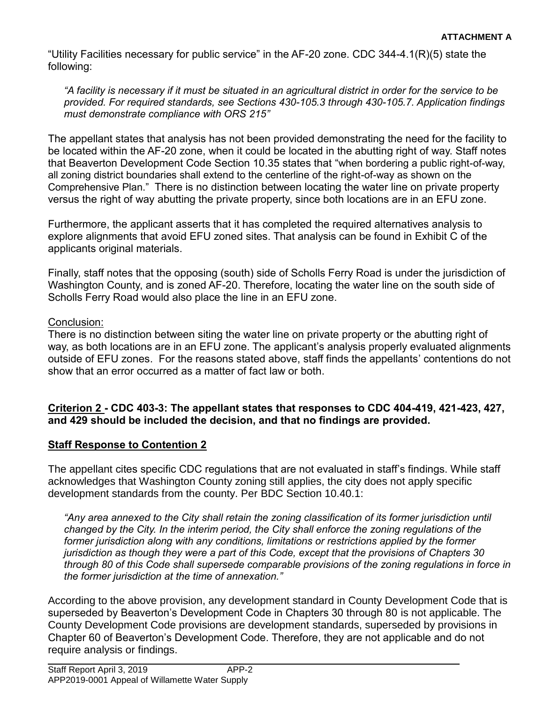"Utility Facilities necessary for public service" in the AF-20 zone. CDC 344-4.1(R)(5) state the following:

*"A facility is necessary if it must be situated in an agricultural district in order for the service to be provided. For required standards, see Sections 430-105.3 through 430-105.7. Application findings must demonstrate compliance with ORS 215"*

The appellant states that analysis has not been provided demonstrating the need for the facility to be located within the AF-20 zone, when it could be located in the abutting right of way. Staff notes that Beaverton Development Code Section 10.35 states that "when bordering a public right-of-way, all zoning district boundaries shall extend to the centerline of the right-of-way as shown on the Comprehensive Plan." There is no distinction between locating the water line on private property versus the right of way abutting the private property, since both locations are in an EFU zone.

Furthermore, the applicant asserts that it has completed the required alternatives analysis to explore alignments that avoid EFU zoned sites. That analysis can be found in Exhibit C of the applicants original materials.

Finally, staff notes that the opposing (south) side of Scholls Ferry Road is under the jurisdiction of Washington County, and is zoned AF-20. Therefore, locating the water line on the south side of Scholls Ferry Road would also place the line in an EFU zone.

## Conclusion:

There is no distinction between siting the water line on private property or the abutting right of way, as both locations are in an EFU zone. The applicant's analysis properly evaluated alignments outside of EFU zones. For the reasons stated above, staff finds the appellants' contentions do not show that an error occurred as a matter of fact law or both.

## **Criterion 2 - CDC 403-3: The appellant states that responses to CDC 404-419, 421-423, 427, and 429 should be included the decision, and that no findings are provided.**

## **Staff Response to Contention 2**

The appellant cites specific CDC regulations that are not evaluated in staff's findings. While staff acknowledges that Washington County zoning still applies, the city does not apply specific development standards from the county. Per BDC Section 10.40.1:

*"Any area annexed to the City shall retain the zoning classification of its former jurisdiction until changed by the City. In the interim period, the City shall enforce the zoning regulations of the former jurisdiction along with any conditions, limitations or restrictions applied by the former jurisdiction as though they were a part of this Code, except that the provisions of Chapters 30 through 80 of this Code shall supersede comparable provisions of the zoning regulations in force in the former jurisdiction at the time of annexation."*

According to the above provision, any development standard in County Development Code that is superseded by Beaverton's Development Code in Chapters 30 through 80 is not applicable. The County Development Code provisions are development standards, superseded by provisions in Chapter 60 of Beaverton's Development Code. Therefore, they are not applicable and do not require analysis or findings.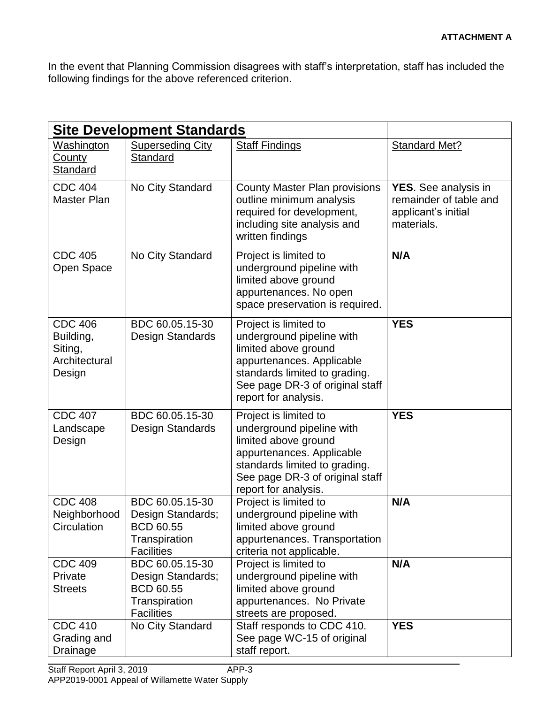In the event that Planning Commission disagrees with staff's interpretation, staff has included the following findings for the above referenced criterion.

| <b>Site Development Standards</b>                                 |                                                                                                |                                                                                                                                                                                                     |                                                                                     |
|-------------------------------------------------------------------|------------------------------------------------------------------------------------------------|-----------------------------------------------------------------------------------------------------------------------------------------------------------------------------------------------------|-------------------------------------------------------------------------------------|
| Washington<br><u>County</u><br><b>Standard</b>                    | <b>Superseding City</b><br>Standard                                                            | <b>Staff Findings</b>                                                                                                                                                                               | <b>Standard Met?</b>                                                                |
| <b>CDC 404</b><br><b>Master Plan</b>                              | No City Standard                                                                               | <b>County Master Plan provisions</b><br>outline minimum analysis<br>required for development,<br>including site analysis and<br>written findings                                                    | YES. See analysis in<br>remainder of table and<br>applicant's initial<br>materials. |
| <b>CDC 405</b><br>Open Space                                      | No City Standard                                                                               | Project is limited to<br>underground pipeline with<br>limited above ground<br>appurtenances. No open<br>space preservation is required.                                                             | N/A                                                                                 |
| <b>CDC 406</b><br>Building,<br>Siting,<br>Architectural<br>Design | BDC 60.05.15-30<br>Design Standards                                                            | Project is limited to<br>underground pipeline with<br>limited above ground<br>appurtenances. Applicable<br>standards limited to grading.<br>See page DR-3 of original staff<br>report for analysis. | <b>YES</b>                                                                          |
| <b>CDC 407</b><br>Landscape<br>Design                             | BDC 60.05.15-30<br>Design Standards                                                            | Project is limited to<br>underground pipeline with<br>limited above ground<br>appurtenances. Applicable<br>standards limited to grading.<br>See page DR-3 of original staff<br>report for analysis. | <b>YES</b>                                                                          |
| <b>CDC 408</b><br>Neighborhood<br>Circulation                     | BDC 60.05.15-30<br>Design Standards;<br><b>BCD 60.55</b><br>Transpiration<br><b>Facilities</b> | Project is limited to<br>underground pipeline with<br>limited above ground<br>appurtenances. Transportation<br>criteria not applicable.                                                             | N/A                                                                                 |
| <b>CDC 409</b><br>Private<br><b>Streets</b>                       | BDC 60.05.15-30<br>Design Standards;<br><b>BCD 60.55</b><br>Transpiration<br><b>Facilities</b> | Project is limited to<br>underground pipeline with<br>limited above ground<br>appurtenances. No Private<br>streets are proposed.                                                                    | N/A                                                                                 |
| <b>CDC 410</b><br>Grading and<br>Drainage                         | No City Standard                                                                               | Staff responds to CDC 410.<br>See page WC-15 of original<br>staff report.                                                                                                                           | <b>YES</b>                                                                          |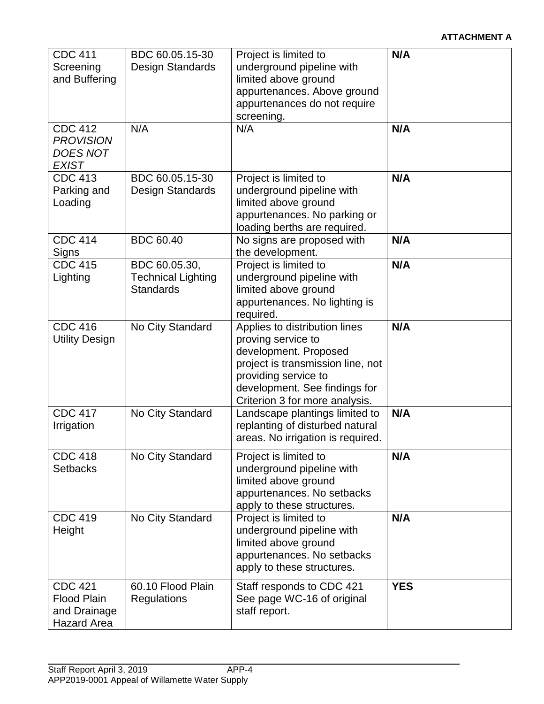| <b>CDC 411</b><br>Screening<br>and Buffering<br><b>CDC 412</b><br><b>PROVISION</b><br><b>DOES NOT</b> | BDC 60.05.15-30<br>Design Standards<br>N/A                     | Project is limited to<br>underground pipeline with<br>limited above ground<br>appurtenances. Above ground<br>appurtenances do not require<br>screening.<br>N/A                                               | N/A<br>N/A |
|-------------------------------------------------------------------------------------------------------|----------------------------------------------------------------|--------------------------------------------------------------------------------------------------------------------------------------------------------------------------------------------------------------|------------|
| <b>EXIST</b><br><b>CDC 413</b><br>Parking and<br>Loading                                              | BDC 60.05.15-30<br>Design Standards                            | Project is limited to<br>underground pipeline with<br>limited above ground<br>appurtenances. No parking or<br>loading berths are required.                                                                   | N/A        |
| <b>CDC 414</b><br>Signs                                                                               | <b>BDC 60.40</b>                                               | No signs are proposed with<br>the development.                                                                                                                                                               | N/A        |
| <b>CDC 415</b><br>Lighting                                                                            | BDC 60.05.30,<br><b>Technical Lighting</b><br><b>Standards</b> | Project is limited to<br>underground pipeline with<br>limited above ground<br>appurtenances. No lighting is<br>required.                                                                                     | N/A        |
| <b>CDC 416</b><br><b>Utility Design</b>                                                               | No City Standard                                               | Applies to distribution lines<br>proving service to<br>development. Proposed<br>project is transmission line, not<br>providing service to<br>development. See findings for<br>Criterion 3 for more analysis. | N/A        |
| <b>CDC 417</b><br>Irrigation                                                                          | No City Standard                                               | Landscape plantings limited to<br>replanting of disturbed natural<br>areas. No irrigation is required.                                                                                                       | N/A        |
| <b>CDC 418</b><br><b>Setbacks</b>                                                                     | No City Standard                                               | Project is limited to<br>underground pipeline with<br>limited above ground<br>appurtenances. No setbacks<br>apply to these structures.                                                                       | N/A        |
| <b>CDC 419</b><br>Height                                                                              | No City Standard                                               | Project is limited to<br>underground pipeline with<br>limited above ground<br>appurtenances. No setbacks<br>apply to these structures.                                                                       | N/A        |
| <b>CDC 421</b><br><b>Flood Plain</b><br>and Drainage<br><b>Hazard Area</b>                            | 60.10 Flood Plain<br><b>Regulations</b>                        | Staff responds to CDC 421<br>See page WC-16 of original<br>staff report.                                                                                                                                     | <b>YES</b> |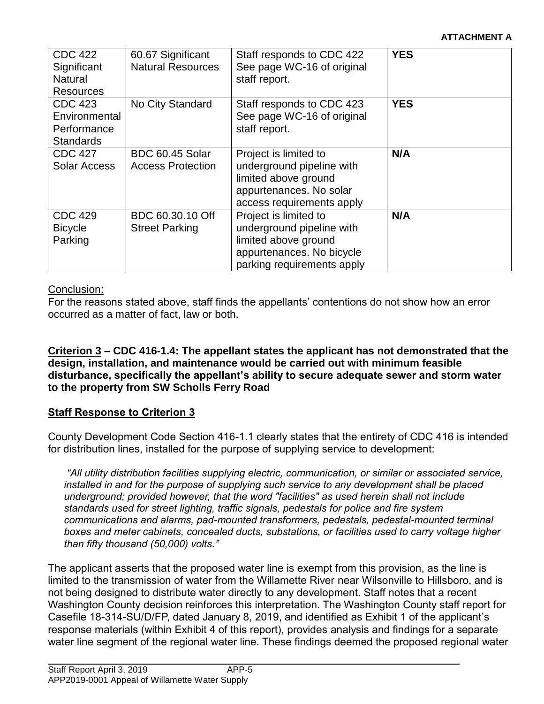| <b>CDC 422</b><br>Significant<br>Natural<br><b>Resources</b> | 60.67 Significant<br><b>Natural Resources</b>      | Staff responds to CDC 422<br>See page WC-16 of original<br>staff report.                                                              | <b>YES</b> |
|--------------------------------------------------------------|----------------------------------------------------|---------------------------------------------------------------------------------------------------------------------------------------|------------|
| CDC 423<br>Environmental<br>Performance<br><b>Standards</b>  | No City Standard                                   | Staff responds to CDC 423<br>See page WC-16 of original<br>staff report.                                                              | <b>YES</b> |
| <b>CDC 427</b><br><b>Solar Access</b>                        | <b>BDC 60.45 Solar</b><br><b>Access Protection</b> | Project is limited to<br>underground pipeline with<br>limited above ground<br>appurtenances. No solar<br>access requirements apply    | N/A        |
| <b>CDC 429</b><br><b>Bicycle</b><br>Parking                  | BDC 60.30.10 Off<br><b>Street Parking</b>          | Project is limited to<br>underground pipeline with<br>limited above ground<br>appurtenances. No bicycle<br>parking requirements apply | N/A        |

## Conclusion:

For the reasons stated above, staff finds the appellants' contentions do not show how an error occurred as a matter of fact, law or both.

#### **Criterion 3 – CDC 416-1.4: The appellant states the applicant has not demonstrated that the design, installation, and maintenance would be carried out with minimum feasible disturbance, specifically the appellant's ability to secure adequate sewer and storm water to the property from SW Scholls Ferry Road**

# **Staff Response to Criterion 3**

County Development Code Section 416-1.1 clearly states that the entirety of CDC 416 is intended for distribution lines, installed for the purpose of supplying service to development:

*"All utility distribution facilities supplying electric, communication, or similar or associated service, installed in and for the purpose of supplying such service to any development shall be placed underground; provided however, that the word "facilities" as used herein shall not include standards used for street lighting, traffic signals, pedestals for police and fire system communications and alarms, pad-mounted transformers, pedestals, pedestal-mounted terminal boxes and meter cabinets, concealed ducts, substations, or facilities used to carry voltage higher than fifty thousand (50,000) volts."*

The applicant asserts that the proposed water line is exempt from this provision, as the line is limited to the transmission of water from the Willamette River near Wilsonville to Hillsboro, and is not being designed to distribute water directly to any development. Staff notes that a recent Washington County decision reinforces this interpretation. The Washington County staff report for Casefile 18-314-SU/D/FP, dated January 8, 2019, and identified as Exhibit 1 of the applicant's response materials (within Exhibit 4 of this report), provides analysis and findings for a separate water line segment of the regional water line. These findings deemed the proposed regional water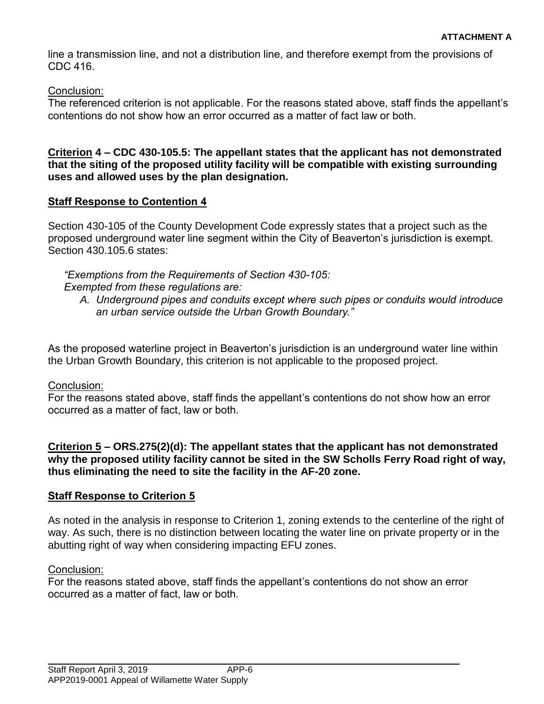line a transmission line, and not a distribution line, and therefore exempt from the provisions of CDC 416.

Conclusion:

The referenced criterion is not applicable. For the reasons stated above, staff finds the appellant's contentions do not show how an error occurred as a matter of fact law or both.

**Criterion 4 – CDC 430-105.5: The appellant states that the applicant has not demonstrated that the siting of the proposed utility facility will be compatible with existing surrounding uses and allowed uses by the plan designation.**

## **Staff Response to Contention 4**

Section 430-105 of the County Development Code expressly states that a project such as the proposed underground water line segment within the City of Beaverton's jurisdiction is exempt. Section 430.105.6 states:

*"Exemptions from the Requirements of [Section 430-105:](https://library.municode.com/or/washington_county/codes/community_development_code?nodeId=ARTIVDEST_430SPUSST_430-105PUUT) Exempted from these regulations are:* 

*A. Underground pipes and conduits except where such pipes or conduits would introduce an urban service outside the Urban Growth Boundary."*

As the proposed waterline project in Beaverton's jurisdiction is an underground water line within the Urban Growth Boundary, this criterion is not applicable to the proposed project.

## Conclusion:

For the reasons stated above, staff finds the appellant's contentions do not show how an error occurred as a matter of fact, law or both.

#### **Criterion 5 – ORS.275(2)(d): The appellant states that the applicant has not demonstrated why the proposed utility facility cannot be sited in the SW Scholls Ferry Road right of way, thus eliminating the need to site the facility in the AF-20 zone.**

## **Staff Response to Criterion 5**

As noted in the analysis in response to Criterion 1, zoning extends to the centerline of the right of way. As such, there is no distinction between locating the water line on private property or in the abutting right of way when considering impacting EFU zones.

## Conclusion:

For the reasons stated above, staff finds the appellant's contentions do not show an error occurred as a matter of fact, law or both.